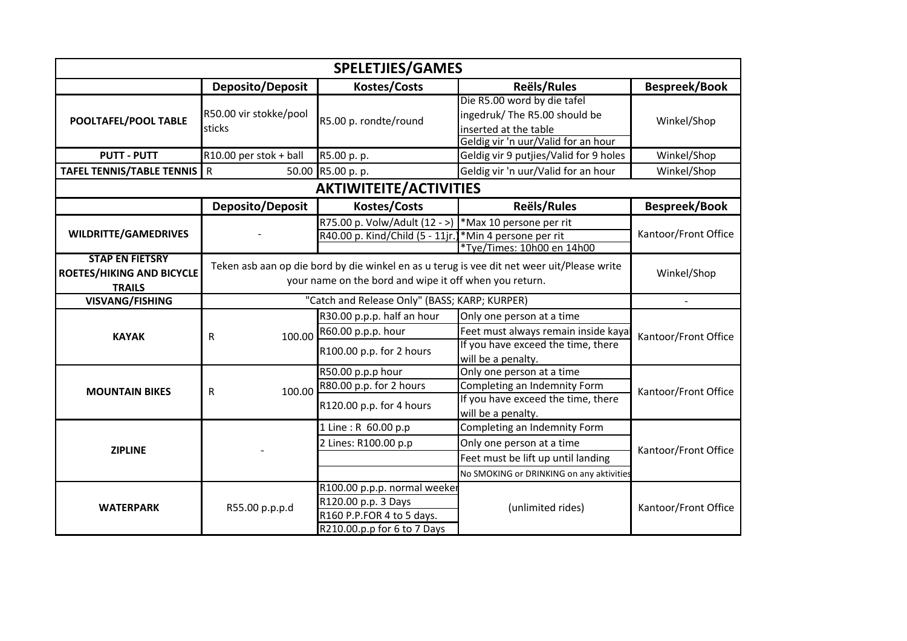| <b>SPELETJIES/GAMES</b>                                                     |                                                                                                                                                                     |                                                                                                                 |                                                                                                                                             |                      |  |  |
|-----------------------------------------------------------------------------|---------------------------------------------------------------------------------------------------------------------------------------------------------------------|-----------------------------------------------------------------------------------------------------------------|---------------------------------------------------------------------------------------------------------------------------------------------|----------------------|--|--|
|                                                                             | Deposito/Deposit                                                                                                                                                    | <b>Kostes/Costs</b>                                                                                             | Reëls/Rules                                                                                                                                 | Bespreek/Book        |  |  |
| POOLTAFEL/POOL TABLE                                                        | R50.00 vir stokke/pool<br>sticks                                                                                                                                    | R5.00 p. rondte/round                                                                                           | Die R5.00 word by die tafel<br>ingedruk/ The R5.00 should be<br>inserted at the table<br>Geldig vir 'n uur/Valid for an hour                | Winkel/Shop          |  |  |
| <b>PUTT - PUTT</b>                                                          | R10.00 per stok + ball                                                                                                                                              | R5.00 p. p.                                                                                                     | Geldig vir 9 putjies/Valid for 9 holes<br>Winkel/Shop                                                                                       |                      |  |  |
| <b>TAFEL TENNIS/TABLE TENNIS</b>                                            | 50.00<br>R                                                                                                                                                          | R5.00 p. p.                                                                                                     | Geldig vir 'n uur/Valid for an hour                                                                                                         | Winkel/Shop          |  |  |
| <b>AKTIWITEITE/ACTIVITIES</b>                                               |                                                                                                                                                                     |                                                                                                                 |                                                                                                                                             |                      |  |  |
|                                                                             | <b>Deposito/Deposit</b>                                                                                                                                             | <b>Kostes/Costs</b>                                                                                             | <b>Reëls/Rules</b>                                                                                                                          | <b>Bespreek/Book</b> |  |  |
| <b>WILDRITTE/GAMEDRIVES</b>                                                 |                                                                                                                                                                     | R75.00 p. Volw/Adult (12 - >) *Max 10 persone per rit<br>R40.00 p. Kind/Child (5 - 11jr.)                       | *Min 4 persone per rit<br>*Tye/Times: 10h00 en 14h00                                                                                        | Kantoor/Front Office |  |  |
| <b>STAP EN FIETSRY</b><br><b>ROETES/HIKING AND BICYCLE</b><br><b>TRAILS</b> | Teken asb aan op die bord by die winkel en as u terug is vee dit net weer uit/Please write<br>Winkel/Shop<br>your name on the bord and wipe it off when you return. |                                                                                                                 |                                                                                                                                             |                      |  |  |
| <b>VISVANG/FISHING</b>                                                      |                                                                                                                                                                     | "Catch and Release Only" (BASS; KARP; KURPER)<br>$\blacksquare$                                                 |                                                                                                                                             |                      |  |  |
| <b>KAYAK</b>                                                                | 100.00<br>R                                                                                                                                                         | R30.00 p.p.p. half an hour<br>R60.00 p.p.p. hour<br>R100.00 p.p. for 2 hours                                    | Only one person at a time<br>Feet must always remain inside kaya<br>If you have exceed the time, there<br>will be a penalty.                | Kantoor/Front Office |  |  |
| <b>MOUNTAIN BIKES</b>                                                       | 100.00<br>R                                                                                                                                                         | R50.00 p.p.p hour<br>R80.00 p.p. for 2 hours<br>R120.00 p.p. for 4 hours                                        | Only one person at a time<br>Completing an Indemnity Form<br>If you have exceed the time, there<br>will be a penalty.                       | Kantoor/Front Office |  |  |
| <b>ZIPLINE</b>                                                              |                                                                                                                                                                     | 1 Line: R 60.00 p.p<br>2 Lines: R100.00 p.p                                                                     | Completing an Indemnity Form<br>Only one person at a time<br>Feet must be lift up until landing<br>No SMOKING or DRINKING on any aktivities | Kantoor/Front Office |  |  |
| <b>WATERPARK</b>                                                            | R55.00 p.p.p.d                                                                                                                                                      | R100.00 p.p.p. normal weeker<br>R120.00 p.p. 3 Days<br>R160 P.P.FOR 4 to 5 days.<br>R210.00.p.p for 6 to 7 Days | (unlimited rides)<br>Kantoor/Front Office                                                                                                   |                      |  |  |